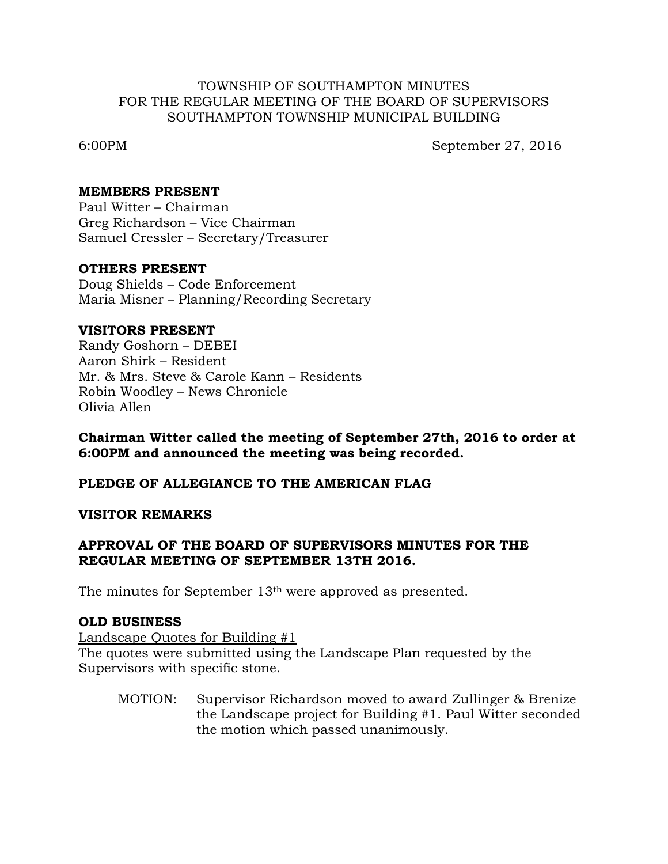### TOWNSHIP OF SOUTHAMPTON MINUTES FOR THE REGULAR MEETING OF THE BOARD OF SUPERVISORS SOUTHAMPTON TOWNSHIP MUNICIPAL BUILDING

6:00PM September 27, 2016

### **MEMBERS PRESENT**

Paul Witter – Chairman Greg Richardson – Vice Chairman Samuel Cressler – Secretary/Treasurer

### **OTHERS PRESENT**

Doug Shields – Code Enforcement Maria Misner – Planning/Recording Secretary

## **VISITORS PRESENT**

Randy Goshorn – DEBEI Aaron Shirk – Resident Mr. & Mrs. Steve & Carole Kann – Residents Robin Woodley – News Chronicle Olivia Allen

**Chairman Witter called the meeting of September 27th, 2016 to order at 6:00PM and announced the meeting was being recorded.**

## **PLEDGE OF ALLEGIANCE TO THE AMERICAN FLAG**

#### **VISITOR REMARKS**

## **APPROVAL OF THE BOARD OF SUPERVISORS MINUTES FOR THE REGULAR MEETING OF SEPTEMBER 13TH 2016.**

The minutes for September 13th were approved as presented.

#### **OLD BUSINESS**

Landscape Quotes for Building #1

The quotes were submitted using the Landscape Plan requested by the Supervisors with specific stone.

MOTION: Supervisor Richardson moved to award Zullinger & Brenize the Landscape project for Building #1. Paul Witter seconded the motion which passed unanimously.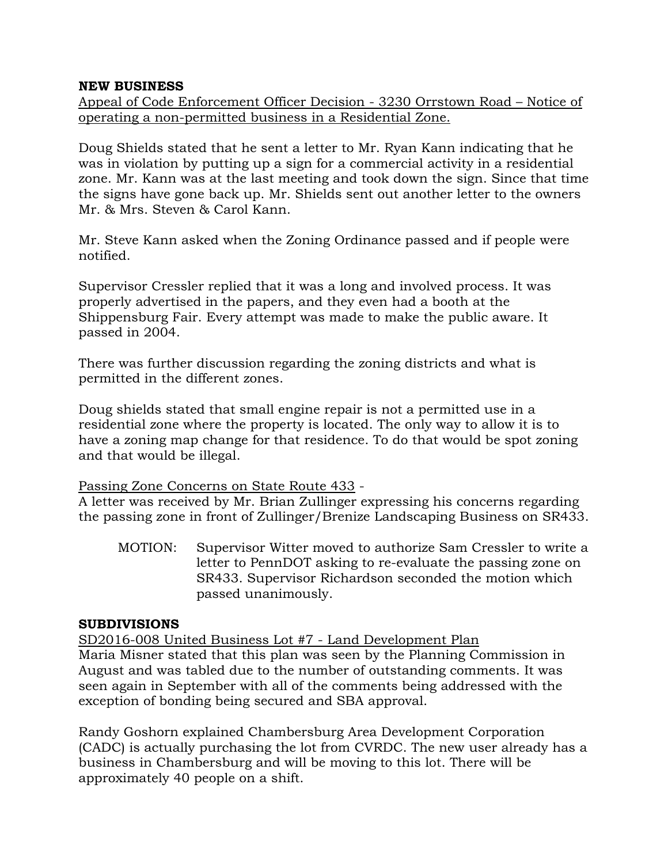### **NEW BUSINESS**

Appeal of Code Enforcement Officer Decision - 3230 Orrstown Road – Notice of operating a non-permitted business in a Residential Zone.

Doug Shields stated that he sent a letter to Mr. Ryan Kann indicating that he was in violation by putting up a sign for a commercial activity in a residential zone. Mr. Kann was at the last meeting and took down the sign. Since that time the signs have gone back up. Mr. Shields sent out another letter to the owners Mr. & Mrs. Steven & Carol Kann.

Mr. Steve Kann asked when the Zoning Ordinance passed and if people were notified.

Supervisor Cressler replied that it was a long and involved process. It was properly advertised in the papers, and they even had a booth at the Shippensburg Fair. Every attempt was made to make the public aware. It passed in 2004.

There was further discussion regarding the zoning districts and what is permitted in the different zones.

Doug shields stated that small engine repair is not a permitted use in a residential zone where the property is located. The only way to allow it is to have a zoning map change for that residence. To do that would be spot zoning and that would be illegal.

## Passing Zone Concerns on State Route 433 -

A letter was received by Mr. Brian Zullinger expressing his concerns regarding the passing zone in front of Zullinger/Brenize Landscaping Business on SR433.

MOTION: Supervisor Witter moved to authorize Sam Cressler to write a letter to PennDOT asking to re-evaluate the passing zone on SR433. Supervisor Richardson seconded the motion which passed unanimously.

## **SUBDIVISIONS**

SD2016-008 United Business Lot #7 - Land Development Plan Maria Misner stated that this plan was seen by the Planning Commission in August and was tabled due to the number of outstanding comments. It was seen again in September with all of the comments being addressed with the exception of bonding being secured and SBA approval.

Randy Goshorn explained Chambersburg Area Development Corporation (CADC) is actually purchasing the lot from CVRDC. The new user already has a business in Chambersburg and will be moving to this lot. There will be approximately 40 people on a shift.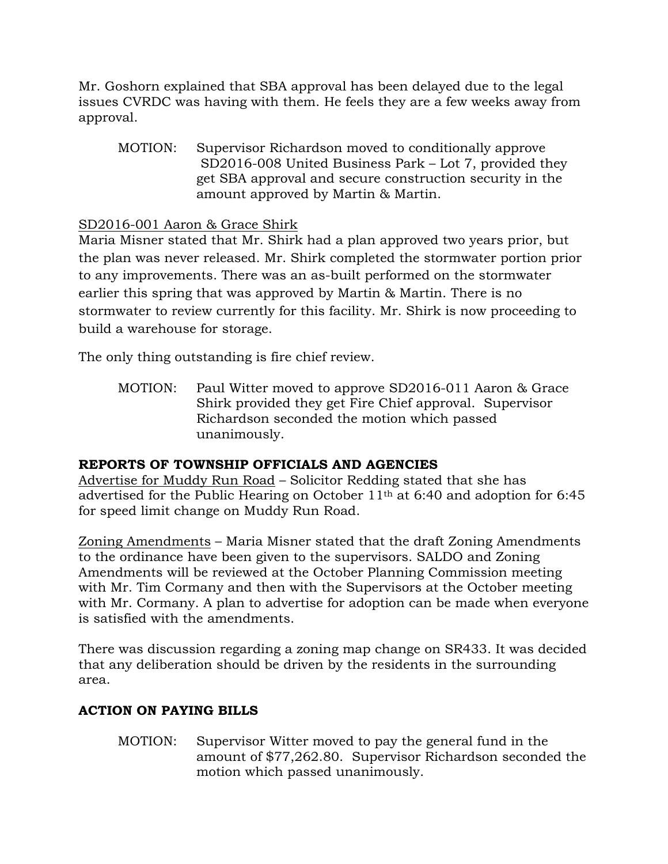Mr. Goshorn explained that SBA approval has been delayed due to the legal issues CVRDC was having with them. He feels they are a few weeks away from approval.

MOTION: Supervisor Richardson moved to conditionally approve SD2016-008 United Business Park – Lot 7, provided they get SBA approval and secure construction security in the amount approved by Martin & Martin.

## SD2016-001 Aaron & Grace Shirk

Maria Misner stated that Mr. Shirk had a plan approved two years prior, but the plan was never released. Mr. Shirk completed the stormwater portion prior to any improvements. There was an as-built performed on the stormwater earlier this spring that was approved by Martin & Martin. There is no stormwater to review currently for this facility. Mr. Shirk is now proceeding to build a warehouse for storage.

The only thing outstanding is fire chief review.

MOTION: Paul Witter moved to approve SD2016-011 Aaron & Grace Shirk provided they get Fire Chief approval. Supervisor Richardson seconded the motion which passed unanimously.

## **REPORTS OF TOWNSHIP OFFICIALS AND AGENCIES**

Advertise for Muddy Run Road – Solicitor Redding stated that she has advertised for the Public Hearing on October 11th at 6:40 and adoption for 6:45 for speed limit change on Muddy Run Road.

Zoning Amendments – Maria Misner stated that the draft Zoning Amendments to the ordinance have been given to the supervisors. SALDO and Zoning Amendments will be reviewed at the October Planning Commission meeting with Mr. Tim Cormany and then with the Supervisors at the October meeting with Mr. Cormany. A plan to advertise for adoption can be made when everyone is satisfied with the amendments.

There was discussion regarding a zoning map change on SR433. It was decided that any deliberation should be driven by the residents in the surrounding area.

# **ACTION ON PAYING BILLS**

MOTION: Supervisor Witter moved to pay the general fund in the amount of \$77,262.80. Supervisor Richardson seconded the motion which passed unanimously.